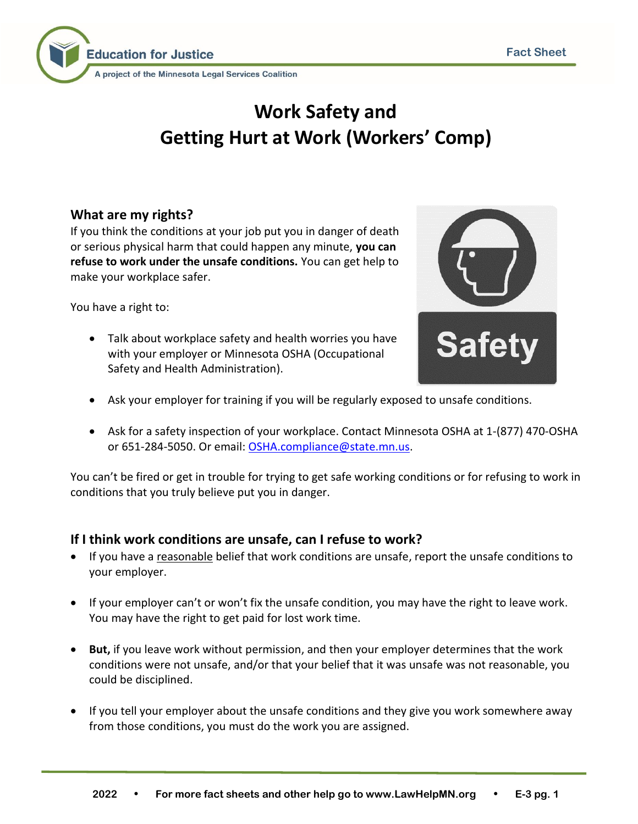

# **Work Safety and Getting Hurt at Work (Workers' Comp)**

## **What are my rights?**

If you think the conditions at your job put you in danger of death or serious physical harm that could happen any minute, **you can refuse to work under the unsafe conditions.** You can get help to make your workplace safer.

You have a right to:

• Talk about workplace safety and health worries you have with your employer or Minnesota OSHA (Occupational Safety and Health Administration).



- Ask your employer for training if you will be regularly exposed to unsafe conditions.
- Ask for a safety inspection of your workplace. Contact Minnesota OSHA at 1-(877) 470-OSHA or 651-284-5050. Or email: [OSHA.compliance@state.mn.us.](mailto:OSHA.compliance@state.mn.us)

You can't be fired or get in trouble for trying to get safe working conditions or for refusing to work in conditions that you truly believe put you in danger.

## **If I think work conditions are unsafe, can I refuse to work?**

- If you have a reasonable belief that work conditions are unsafe, report the unsafe conditions to your employer.
- If your employer can't or won't fix the unsafe condition, you may have the right to leave work. You may have the right to get paid for lost work time.
- **But,** if you leave work without permission, and then your employer determines that the work conditions were not unsafe, and/or that your belief that it was unsafe was not reasonable, you could be disciplined.
- If you tell your employer about the unsafe conditions and they give you work somewhere away from those conditions, you must do the work you are assigned.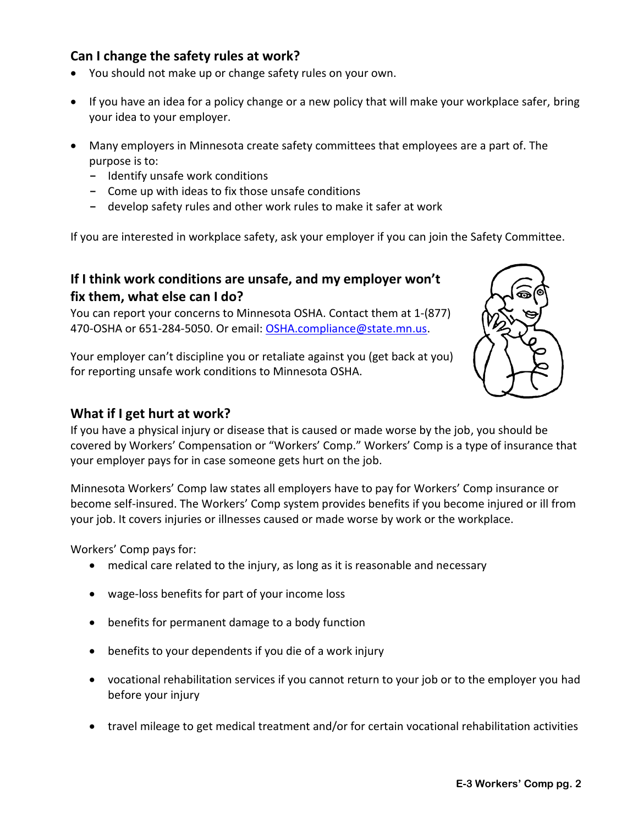#### **Can I change the safety rules at work?**

- You should not make up or change safety rules on your own.
- If you have an idea for a policy change or a new policy that will make your workplace safer, bring your idea to your employer.
- Many employers in Minnesota create safety committees that employees are a part of. The purpose is to:
	- **-** Identify unsafe work conditions
	- **-** Come up with ideas to fix those unsafe conditions
	- **-** develop safety rules and other work rules to make it safer at work

If you are interested in workplace safety, ask your employer if you can join the Safety Committee.

#### **If I think work conditions are unsafe, and my employer won't fix them, what else can I do?**

You can report your concerns to Minnesota OSHA. Contact them at 1-(877) 470-OSHA or 651-284-5050. Or email[: OSHA.compliance@state.mn.us.](mailto:OSHA.compliance@state.mn.us)

Your employer can't discipline you or retaliate against you (get back at you) for reporting unsafe work conditions to Minnesota OSHA.



#### **What if I get hurt at work?**

If you have a physical injury or disease that is caused or made worse by the job, you should be covered by Workers' Compensation or "Workers' Comp." Workers' Comp is a type of insurance that your employer pays for in case someone gets hurt on the job.

Minnesota Workers' Comp law states all employers have to pay for Workers' Comp insurance or become self-insured. The Workers' Comp system provides benefits if you become injured or ill from your job. It covers injuries or illnesses caused or made worse by work or the workplace.

Workers' Comp pays for:

- medical care related to the injury, as long as it is reasonable and necessary
- wage-loss benefits for part of your income loss
- benefits for permanent damage to a body function
- benefits to your dependents if you die of a work injury
- vocational rehabilitation services if you cannot return to your job or to the employer you had before your injury
- travel mileage to get medical treatment and/or for certain vocational rehabilitation activities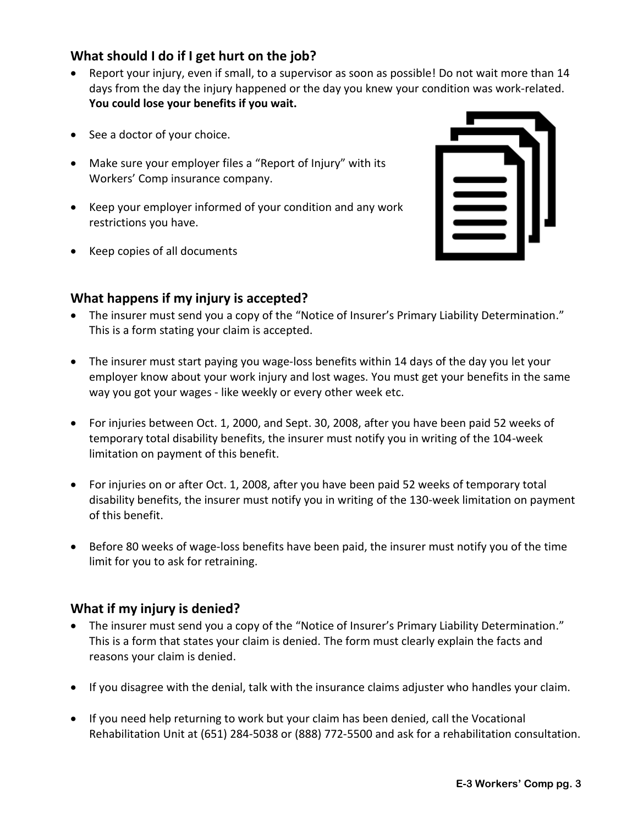## **What should I do if I get hurt on the job?**

- Report your injury, even if small, to a supervisor as soon as possible! Do not wait more than 14 days from the day the injury happened or the day you knew your condition was work-related. **You could lose your benefits if you wait.**
- See a doctor of your choice.
- Make sure your employer files a "Report of Injury" with its Workers' Comp insurance company.
- Keep your employer informed of your condition and any work restrictions you have.
- Keep copies of all documents

## **What happens if my injury is accepted?**

- 
- The insurer must send you a copy of the "Notice of Insurer's Primary Liability Determination." This is a form stating your claim is accepted.
- The insurer must start paying you wage-loss benefits within 14 days of the day you let your employer know about your work injury and lost wages. You must get your benefits in the same way you got your wages - like weekly or every other week etc.
- For injuries between Oct. 1, 2000, and Sept. 30, 2008, after you have been paid 52 weeks of temporary total disability benefits, the insurer must notify you in writing of the 104-week limitation on payment of this benefit.
- For injuries on or after Oct. 1, 2008, after you have been paid 52 weeks of temporary total disability benefits, the insurer must notify you in writing of the 130-week limitation on payment of this benefit.
- Before 80 weeks of wage-loss benefits have been paid, the insurer must notify you of the time limit for you to ask for retraining.

## **What if my injury is denied?**

- The insurer must send you a copy of the "Notice of Insurer's Primary Liability Determination." This is a form that states your claim is denied. The form must clearly explain the facts and reasons your claim is denied.
- If you disagree with the denial, talk with the insurance claims adjuster who handles your claim.
- If you need help returning to work but your claim has been denied, call the Vocational Rehabilitation Unit at (651) 284-5038 or (888) 772-5500 and ask for a rehabilitation consultation.